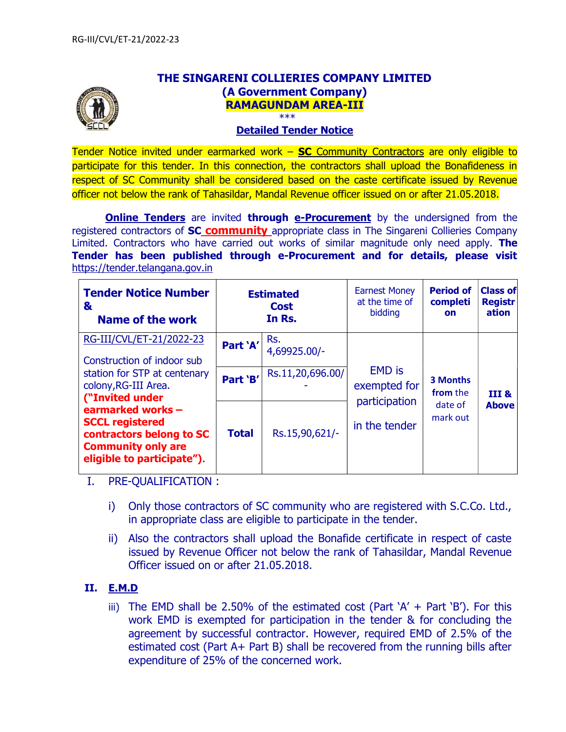

# THE SINGARENI COLLIERIES COMPANY LIMITED (A Government Company) RAMAGUNDAM AREA-III

#### Detailed Tender Notice

Tender Notice invited under earmarked work  $-$  SC Community Contractors are only eligible to participate for this tender. In this connection, the contractors shall upload the Bonafideness in respect of SC Community shall be considered based on the caste certificate issued by Revenue officer not below the rank of Tahasildar, Mandal Revenue officer issued on or after 21.05.2018.

**Online Tenders** are invited through e-Procurement by the undersigned from the registered contractors of **SC community** appropriate class in The Singareni Collieries Company Limited. Contractors who have carried out works of similar magnitude only need apply. The Tender has been published through e-Procurement and for details, please visit https://tender.telangana.gov.in

| <b>Tender Notice Number</b><br>&<br>Name of the work                                                                              | <b>Estimated</b><br><b>Cost</b><br>In Rs. |                     | <b>Earnest Money</b><br>at the time of<br>bidding               | <b>Period of</b><br>completi<br><b>on</b>   | <b>Class of</b><br><b>Registr</b><br>ation |
|-----------------------------------------------------------------------------------------------------------------------------------|-------------------------------------------|---------------------|-----------------------------------------------------------------|---------------------------------------------|--------------------------------------------|
| RG-III/CVL/ET-21/2022-23<br>Construction of indoor sub                                                                            | Part 'A'                                  | Rs.<br>4,69925.00/- | <b>EMD</b> is<br>exempted for<br>participation<br>in the tender | 3 Months<br>from the<br>date of<br>mark out | III &<br><b>Above</b>                      |
| station for STP at centenary<br>colony, RG-III Area.<br>("Invited under                                                           | Part 'B'                                  | Rs.11,20,696.00/    |                                                                 |                                             |                                            |
| earmarked works -<br><b>SCCL registered</b><br>contractors belong to SC<br><b>Community only are</b><br>eligible to participate") | <b>Total</b>                              | Rs.15,90,621/-      |                                                                 |                                             |                                            |

I. PRE-QUALIFICATION :

- i) Only those contractors of SC community who are registered with S.C.Co. Ltd., in appropriate class are eligible to participate in the tender.
- ii) Also the contractors shall upload the Bonafide certificate in respect of caste issued by Revenue Officer not below the rank of Tahasildar, Mandal Revenue Officer issued on or after 21.05.2018.

### II. E.M.D

iii) The EMD shall be 2.50% of the estimated cost (Part  $A' + Part B'$ ). For this work EMD is exempted for participation in the tender & for concluding the agreement by successful contractor. However, required EMD of 2.5% of the estimated cost (Part A+ Part B) shall be recovered from the running bills after expenditure of 25% of the concerned work.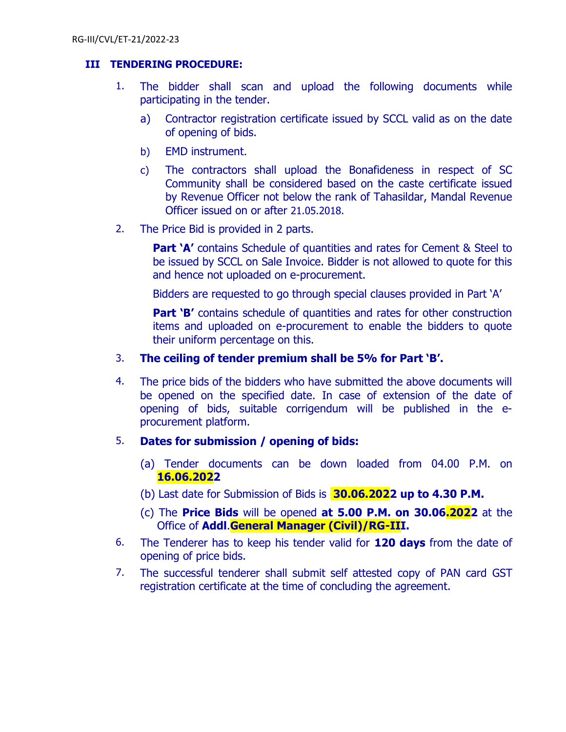## III TENDERING PROCEDURE:

- 1. The bidder shall scan and upload the following documents while participating in the tender.
	- a) Contractor registration certificate issued by SCCL valid as on the date of opening of bids.
	- b) EMD instrument.
	- c) The contractors shall upload the Bonafideness in respect of SC Community shall be considered based on the caste certificate issued by Revenue Officer not below the rank of Tahasildar, Mandal Revenue Officer issued on or after 21.05.2018.
- 2. The Price Bid is provided in 2 parts.

**Part 'A'** contains Schedule of quantities and rates for Cement & Steel to be issued by SCCL on Sale Invoice. Bidder is not allowed to quote for this and hence not uploaded on e-procurement.

Bidders are requested to go through special clauses provided in Part 'A'

Part 'B' contains schedule of quantities and rates for other construction items and uploaded on e-procurement to enable the bidders to quote their uniform percentage on this.

## 3. The ceiling of tender premium shall be 5% for Part 'B'.

- 4. The price bids of the bidders who have submitted the above documents will be opened on the specified date. In case of extension of the date of opening of bids, suitable corrigendum will be published in the eprocurement platform.
- 5. Dates for submission / opening of bids:
	- (a) Tender documents can be down loaded from 04.00 P.M. on 16.06.2022
	- (b) Last date for Submission of Bids is  $30.06.2022$  up to 4.30 P.M.
	- (c) The Price Bids will be opened at 5.00 P.M. on 30.06.2022 at the Office of Addl.General Manager (Civil)/RG-III.
- 6. The Tenderer has to keep his tender valid for  $120 \text{ days}$  from the date of opening of price bids.
- 7. The successful tenderer shall submit self attested copy of PAN card GST registration certificate at the time of concluding the agreement.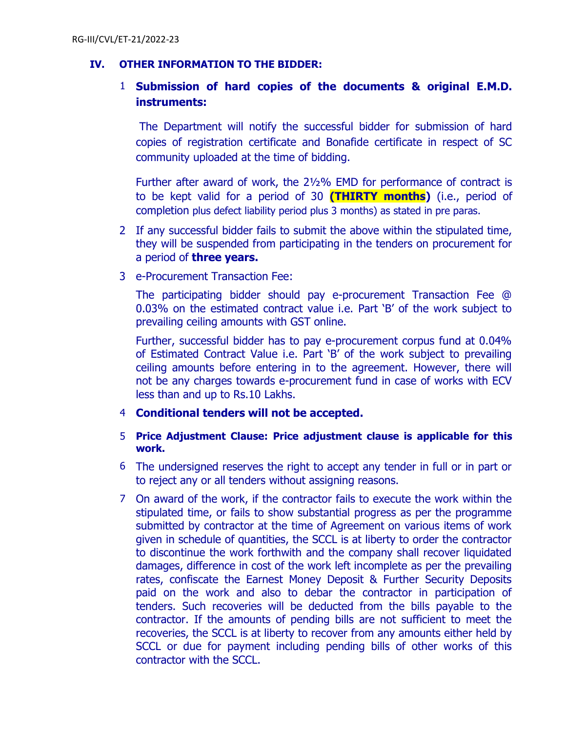### IV. OTHER INFORMATION TO THE BIDDER:

## 1 Submission of hard copies of the documents & original E.M.D. instruments:

The Department will notify the successful bidder for submission of hard copies of registration certificate and Bonafide certificate in respect of SC community uploaded at the time of bidding.

Further after award of work, the 2½% EMD for performance of contract is to be kept valid for a period of 30 **(THIRTY months)** (i.e., period of completion plus defect liability period plus 3 months) as stated in pre paras.

- 2 If any successful bidder fails to submit the above within the stipulated time, they will be suspended from participating in the tenders on procurement for a period of **three years.**
- 3 e-Procurement Transaction Fee:

The participating bidder should pay e-procurement Transaction Fee @ 0.03% on the estimated contract value i.e. Part 'B' of the work subject to prevailing ceiling amounts with GST online.

Further, successful bidder has to pay e-procurement corpus fund at 0.04% of Estimated Contract Value i.e. Part 'B' of the work subject to prevailing ceiling amounts before entering in to the agreement. However, there will not be any charges towards e-procurement fund in case of works with ECV less than and up to Rs.10 Lakhs.

### 4 Conditional tenders will not be accepted.

### 5 Price Adjustment Clause: Price adjustment clause is applicable for this work.

- 6 The undersigned reserves the right to accept any tender in full or in part or to reject any or all tenders without assigning reasons.
- 7 On award of the work, if the contractor fails to execute the work within the stipulated time, or fails to show substantial progress as per the programme submitted by contractor at the time of Agreement on various items of work given in schedule of quantities, the SCCL is at liberty to order the contractor to discontinue the work forthwith and the company shall recover liquidated damages, difference in cost of the work left incomplete as per the prevailing rates, confiscate the Earnest Money Deposit & Further Security Deposits paid on the work and also to debar the contractor in participation of tenders. Such recoveries will be deducted from the bills payable to the contractor. If the amounts of pending bills are not sufficient to meet the recoveries, the SCCL is at liberty to recover from any amounts either held by SCCL or due for payment including pending bills of other works of this contractor with the SCCL.